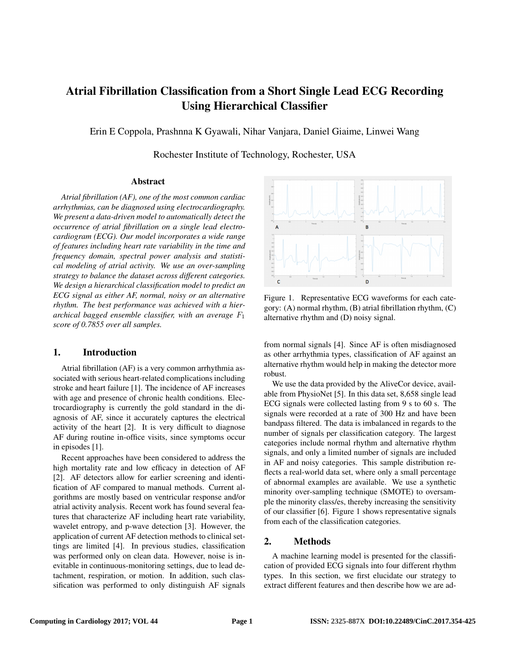# Atrial Fibrillation Classification from a Short Single Lead ECG Recording Using Hierarchical Classifier

Erin E Coppola, Prashnna K Gyawali, Nihar Vanjara, Daniel Giaime, Linwei Wang

Rochester Institute of Technology, Rochester, USA

# Abstract

*Atrial fibrillation (AF), one of the most common cardiac arrhythmias, can be diagnosed using electrocardiography. We present a data-driven model to automatically detect the occurrence of atrial fibrillation on a single lead electrocardiogram (ECG). Our model incorporates a wide range of features including heart rate variability in the time and frequency domain, spectral power analysis and statistical modeling of atrial activity. We use an over-sampling strategy to balance the dataset across different categories. We design a hierarchical classification model to predict an ECG signal as either AF, normal, noisy or an alternative rhythm. The best performance was achieved with a hierarchical bagged ensemble classifier, with an average* F<sup>1</sup> *score of 0.7855 over all samples.*

# 1. Introduction

Atrial fibrillation (AF) is a very common arrhythmia associated with serious heart-related complications including stroke and heart failure [1]. The incidence of AF increases with age and presence of chronic health conditions. Electrocardiography is currently the gold standard in the diagnosis of AF, since it accurately captures the electrical activity of the heart [2]. It is very difficult to diagnose AF during routine in-office visits, since symptoms occur in episodes [1].

Recent approaches have been considered to address the high mortality rate and low efficacy in detection of AF [2]. AF detectors allow for earlier screening and identification of AF compared to manual methods. Current algorithms are mostly based on ventricular response and/or atrial activity analysis. Recent work has found several features that characterize AF including heart rate variability, wavelet entropy, and p-wave detection [3]. However, the application of current AF detection methods to clinical settings are limited [4]. In previous studies, classification was performed only on clean data. However, noise is inevitable in continuous-monitoring settings, due to lead detachment, respiration, or motion. In addition, such classification was performed to only distinguish AF signals



Figure 1. Representative ECG waveforms for each category: (A) normal rhythm, (B) atrial fibrillation rhythm, (C) alternative rhythm and (D) noisy signal.

from normal signals [4]. Since AF is often misdiagnosed as other arrhythmia types, classification of AF against an alternative rhythm would help in making the detector more robust.

We use the data provided by the AliveCor device, available from PhysioNet [5]. In this data set, 8,658 single lead ECG signals were collected lasting from 9 s to 60 s. The signals were recorded at a rate of 300 Hz and have been bandpass filtered. The data is imbalanced in regards to the number of signals per classification category. The largest categories include normal rhythm and alternative rhythm signals, and only a limited number of signals are included in AF and noisy categories. This sample distribution reflects a real-world data set, where only a small percentage of abnormal examples are available. We use a synthetic minority over-sampling technique (SMOTE) to oversample the minority class/es, thereby increasing the sensitivity of our classifier [6]. Figure 1 shows representative signals from each of the classification categories.

# 2. Methods

A machine learning model is presented for the classification of provided ECG signals into four different rhythm types. In this section, we first elucidate our strategy to extract different features and then describe how we are ad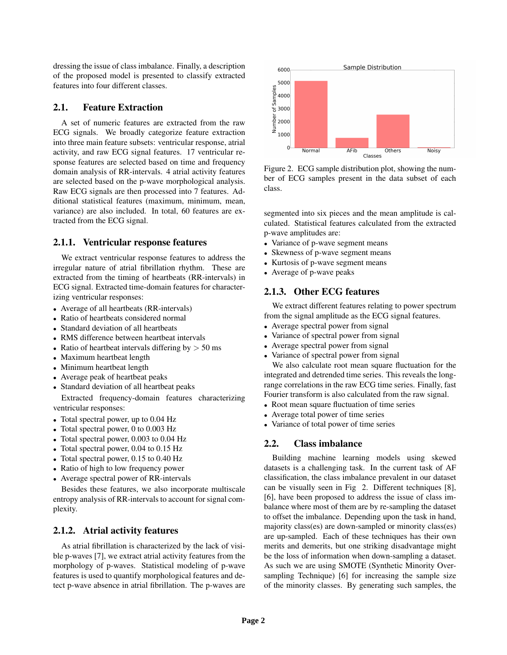dressing the issue of class imbalance. Finally, a description of the proposed model is presented to classify extracted features into four different classes.

## 2.1. Feature Extraction

A set of numeric features are extracted from the raw ECG signals. We broadly categorize feature extraction into three main feature subsets: ventricular response, atrial activity, and raw ECG signal features. 17 ventricular response features are selected based on time and frequency domain analysis of RR-intervals. 4 atrial activity features are selected based on the p-wave morphological analysis. Raw ECG signals are then processed into 7 features. Additional statistical features (maximum, minimum, mean, variance) are also included. In total, 60 features are extracted from the ECG signal.

#### 2.1.1. Ventricular response features

We extract ventricular response features to address the irregular nature of atrial fibrillation rhythm. These are extracted from the timing of heartbeats (RR-intervals) in ECG signal. Extracted time-domain features for characterizing ventricular responses:

- Average of all heartbeats (RR-intervals)
- Ratio of heartbeats considered normal
- Standard deviation of all heartbeats
- RMS difference between heartbeat intervals
- Ratio of heartbeat intervals differing by  $> 50$  ms
- Maximum heartbeat length
- Minimum heartbeat length
- Average peak of heartbeat peaks
- Standard deviation of all heartbeat peaks

Extracted frequency-domain features characterizing ventricular responses:

- Total spectral power, up to 0.04 Hz
- Total spectral power, 0 to 0.003 Hz
- Total spectral power, 0.003 to 0.04 Hz
- Total spectral power, 0.04 to 0.15 Hz
- Total spectral power, 0.15 to 0.40 Hz
- Ratio of high to low frequency power
- Average spectral power of RR-intervals

Besides these features, we also incorporate multiscale entropy analysis of RR-intervals to account for signal complexity.

# 2.1.2. Atrial activity features

As atrial fibrillation is characterized by the lack of visible p-waves [7], we extract atrial activity features from the morphology of p-waves. Statistical modeling of p-wave features is used to quantify morphological features and detect p-wave absence in atrial fibrillation. The p-waves are



Figure 2. ECG sample distribution plot, showing the number of ECG samples present in the data subset of each class.

segmented into six pieces and the mean amplitude is calculated. Statistical features calculated from the extracted p-wave amplitudes are:

- Variance of p-wave segment means
- Skewness of p-wave segment means
- Kurtosis of p-wave segment means
- Average of p-wave peaks

# 2.1.3. Other ECG features

We extract different features relating to power spectrum from the signal amplitude as the ECG signal features.

- Average spectral power from signal
- Variance of spectral power from signal
- Average spectral power from signal
- Variance of spectral power from signal

We also calculate root mean square fluctuation for the integrated and detrended time series. This reveals the longrange correlations in the raw ECG time series. Finally, fast Fourier transform is also calculated from the raw signal.

- Root mean square fluctuation of time series
- Average total power of time series
- Variance of total power of time series

# 2.2. Class imbalance

Building machine learning models using skewed datasets is a challenging task. In the current task of AF classification, the class imbalance prevalent in our dataset can be visually seen in Fig 2. Different techniques [8], [6], have been proposed to address the issue of class imbalance where most of them are by re-sampling the dataset to offset the imbalance. Depending upon the task in hand, majority class(es) are down-sampled or minority class(es) are up-sampled. Each of these techniques has their own merits and demerits, but one striking disadvantage might be the loss of information when down-sampling a dataset. As such we are using SMOTE (Synthetic Minority Oversampling Technique) [6] for increasing the sample size of the minority classes. By generating such samples, the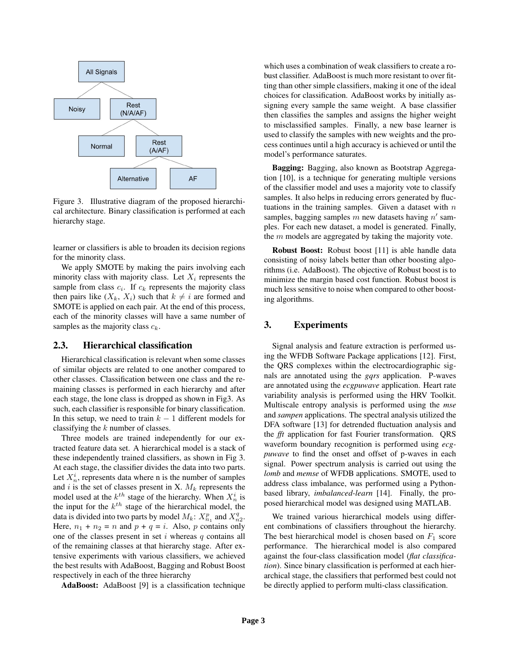

Figure 3. Illustrative diagram of the proposed hierarchical architecture. Binary classification is performed at each hierarchy stage.

learner or classifiers is able to broaden its decision regions for the minority class.

We apply SMOTE by making the pairs involving each minority class with majority class. Let  $X_i$  represents the sample from class  $c_i$ . If  $c_k$  represents the majority class then pairs like  $(X_k, X_i)$  such that  $k \neq i$  are formed and SMOTE is applied on each pair. At the end of this process, each of the minority classes will have a same number of samples as the majority class  $c_k$ .

# 2.3. Hierarchical classification

Hierarchical classification is relevant when some classes of similar objects are related to one another compared to other classes. Classification between one class and the remaining classes is performed in each hierarchy and after each stage, the lone class is dropped as shown in Fig3. As such, each classifier is responsible for binary classification. In this setup, we need to train  $k - 1$  different models for classifying the k number of classes.

Three models are trained independently for our extracted feature data set. A hierarchical model is a stack of these independently trained classifiers, as shown in Fig 3. At each stage, the classifier divides the data into two parts. Let  $X_n^i$ , represents data where n is the number of samples and  $i$  is the set of classes present in X.  $M_k$  represents the model used at the  $k^{th}$  stage of the hierarchy. When  $X_n^i$  is the input for the  $k^{th}$  stage of the hierarchical model, the data is divided into two parts by model  $M_k$ :  $X_{n_1}^p$  and  $X_{n_2}^q$ . Here,  $n_1 + n_2 = n$  and  $p + q = i$ . Also, p contains only one of the classes present in set  $i$  whereas  $q$  contains all of the remaining classes at that hierarchy stage. After extensive experiments with various classifiers, we achieved the best results with AdaBoost, Bagging and Robust Boost respectively in each of the three hierarchy

AdaBoost: AdaBoost [9] is a classification technique

which uses a combination of weak classifiers to create a robust classifier. AdaBoost is much more resistant to over fitting than other simple classifiers, making it one of the ideal choices for classification. AdaBoost works by initially assigning every sample the same weight. A base classifier then classifies the samples and assigns the higher weight to misclassified samples. Finally, a new base learner is used to classify the samples with new weights and the process continues until a high accuracy is achieved or until the model's performance saturates.

Bagging: Bagging, also known as Bootstrap Aggregation [10], is a technique for generating multiple versions of the classifier model and uses a majority vote to classify samples. It also helps in reducing errors generated by fluctuations in the training samples. Given a dataset with  $n$ samples, bagging samples  $m$  new datasets having  $n'$  samples. For each new dataset, a model is generated. Finally, the  $m$  models are aggregated by taking the majority vote.

Robust Boost: Robust boost [11] is able handle data consisting of noisy labels better than other boosting algorithms (i.e. AdaBoost). The objective of Robust boost is to minimize the margin based cost function. Robust boost is much less sensitive to noise when compared to other boosting algorithms.

## 3. Experiments

Signal analysis and feature extraction is performed using the WFDB Software Package applications [12]. First, the QRS complexes within the electrocardiographic signals are annotated using the *gqrs* application. P-waves are annotated using the *ecgpuwave* application. Heart rate variability analysis is performed using the HRV Toolkit. Multiscale entropy analysis is performed using the *mse* and *sampen* applications. The spectral analysis utilized the DFA software [13] for detrended fluctuation analysis and the *fft* application for fast Fourier transformation. QRS waveform boundary recognition is performed using *ecgpuwave* to find the onset and offset of p-waves in each signal. Power spectrum analysis is carried out using the *lomb* and *memse* of WFDB applications. SMOTE, used to address class imbalance, was performed using a Pythonbased library, *imbalanced-learn* [14]. Finally, the proposed hierarchical model was designed using MATLAB.

We trained various hierarchical models using different combinations of classifiers throughout the hierarchy. The best hierarchical model is chosen based on  $F_1$  score performance. The hierarchical model is also compared against the four-class classification model (*flat classification*). Since binary classification is performed at each hierarchical stage, the classifiers that performed best could not be directly applied to perform multi-class classification.